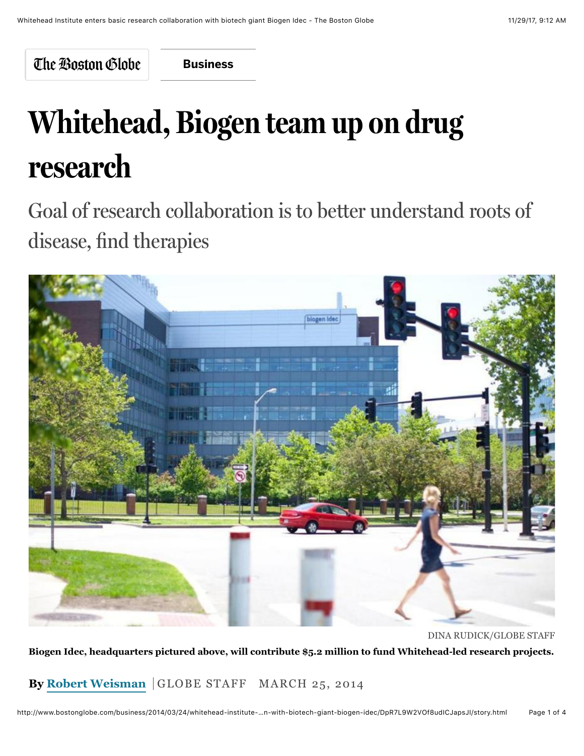The Boston Globe

**[Business](http://www.bostonglobe.com/business?p1=BGHeader_SectionLink)**

## **Whitehead, Biogen team up on drug research**

Goal of research collaboration is to better understand roots of disease, find therapies



DINA RUDICK/GLOBE STAFF

**Biogen Idec, headquarters pictured above, will contribute \$5.2 million to fund Whitehead-led research projects.**

**By [Robert Weisman](http://www.bostonglobe.com/staff/weisman)** GLOBE STAFF MARCH 25, 2014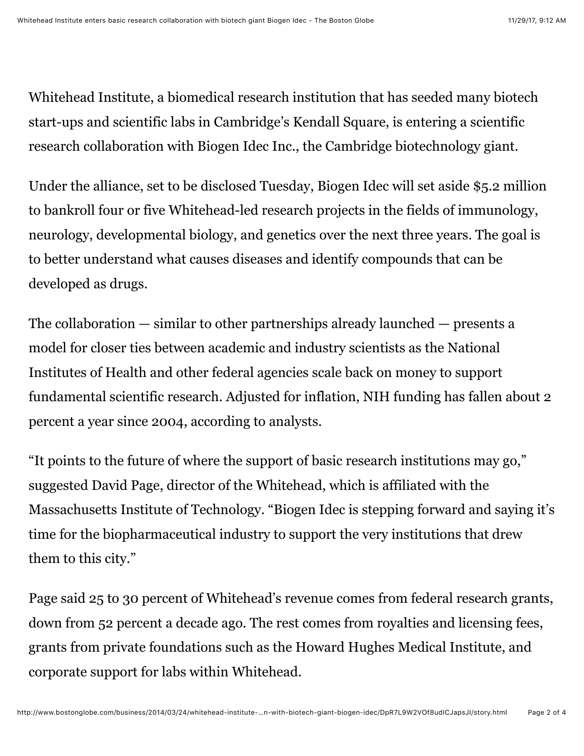Whitehead Institute, a biomedical research institution that has seeded many biotech start-ups and scientific labs in Cambridge's Kendall Square, is entering a scientific research collaboration with Biogen Idec Inc., the Cambridge biotechnology giant.

Under the alliance, set to be disclosed Tuesday, Biogen Idec will set aside \$5.2 million to bankroll four or five Whitehead-led research projects in the fields of immunology, neurology, developmental biology, and genetics over the next three years. The goal is to better understand what causes diseases and identify compounds that can be developed as drugs.

The collaboration — similar to other partnerships already launched — presents a model for closer ties between academic and industry scientists as the National Institutes of Health and other federal agencies scale back on money to support fundamental scientific research. Adjusted for inflation, NIH funding has fallen about 2 percent a year since 2004, according to analysts.

"It points to the future of where the support of basic research institutions may go," suggested David Page, director of the Whitehead, which is affiliated with the Massachusetts Institute of Technology. "Biogen Idec is stepping forward and saying it's time for the biopharmaceutical industry to support the very institutions that drew them to this city."

Page said 25 to 30 percent of Whitehead's revenue comes from federal research grants, down from 52 percent a decade ago. The rest comes from royalties and licensing fees, grants from private foundations such as the Howard Hughes Medical Institute, and corporate support for labs within Whitehead.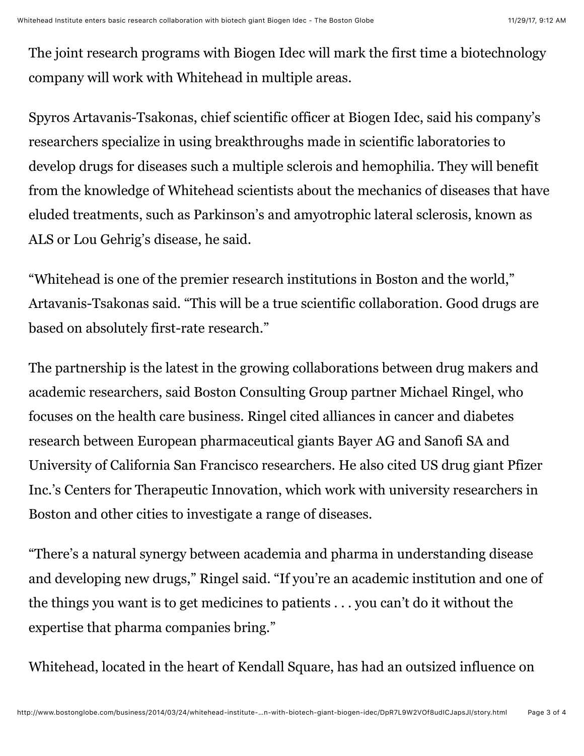The joint research programs with Biogen Idec will mark the first time a biotechnology company will work with Whitehead in multiple areas.

Spyros Artavanis-Tsakonas, chief scientific officer at Biogen Idec, said his company's researchers specialize in using breakthroughs made in scientific laboratories to develop drugs for diseases such a multiple sclerois and hemophilia. They will benefit from the knowledge of Whitehead scientists about the mechanics of diseases that have eluded treatments, such as Parkinson's and amyotrophic lateral sclerosis, known as ALS or Lou Gehrig's disease, he said.

"Whitehead is one of the premier research institutions in Boston and the world," Artavanis-Tsakonas said. "This will be a true scientific collaboration. Good drugs are based on absolutely first-rate research."

The partnership is the latest in the growing collaborations between drug makers and academic researchers, said Boston Consulting Group partner Michael Ringel, who focuses on the health care business. Ringel cited alliances in cancer and diabetes research between European pharmaceutical giants Bayer AG and Sanofi SA and University of California San Francisco researchers. He also cited US drug giant Pfizer Inc.'s Centers for Therapeutic Innovation, which work with university researchers in Boston and other cities to investigate a range of diseases.

"There's a natural synergy between academia and pharma in understanding disease and developing new drugs," Ringel said. "If you're an academic institution and one of the things you want is to get medicines to patients . . . you can't do it without the expertise that pharma companies bring."

Whitehead, located in the heart of Kendall Square, has had an outsized influence on